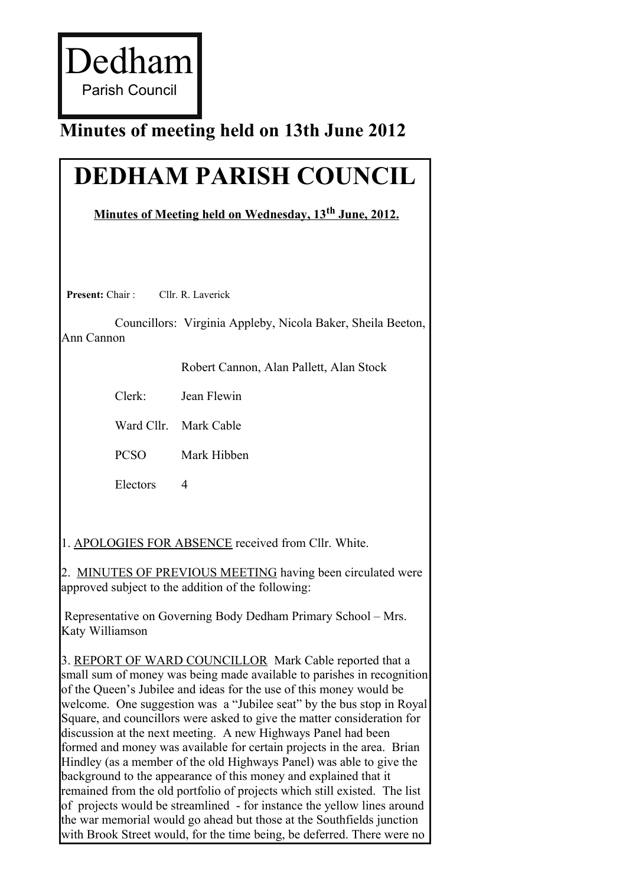Dedham Parish Council

## **Minutes of meeting held on 13th June 2012**

## **DEDHAM PARISH COUNCIL**

 **Minutes of Meeting held on Wednesday, 13th June, 2012.**

**Present:** Chair : Cllr. R. Laverick

Councillors: Virginia Appleby, Nicola Baker, Sheila Beeton, Ann Cannon

Robert Cannon, Alan Pallett, Alan Stock

Clerk: Jean Flewin

Ward Cllr. Mark Cable

PCSO Mark Hibben

Electors 4

1. APOLOGIES FOR ABSENCE received from Cllr. White.

2. MINUTES OF PREVIOUS MEETING having been circulated were approved subject to the addition of the following:

Representative on Governing Body Dedham Primary School – Mrs. Katy Williamson

3. REPORT OF WARD COUNCILLOR Mark Cable reported that a small sum of money was being made available to parishes in recognition of the Queen's Jubilee and ideas for the use of this money would be welcome. One suggestion was a "Jubilee seat" by the bus stop in Royal Square, and councillors were asked to give the matter consideration for discussion at the next meeting. A new Highways Panel had been formed and money was available for certain projects in the area. Brian Hindley (as a member of the old Highways Panel) was able to give the background to the appearance of this money and explained that it remained from the old portfolio of projects which still existed. The list of projects would be streamlined - for instance the yellow lines around the war memorial would go ahead but those at the Southfields junction with Brook Street would, for the time being, be deferred. There were no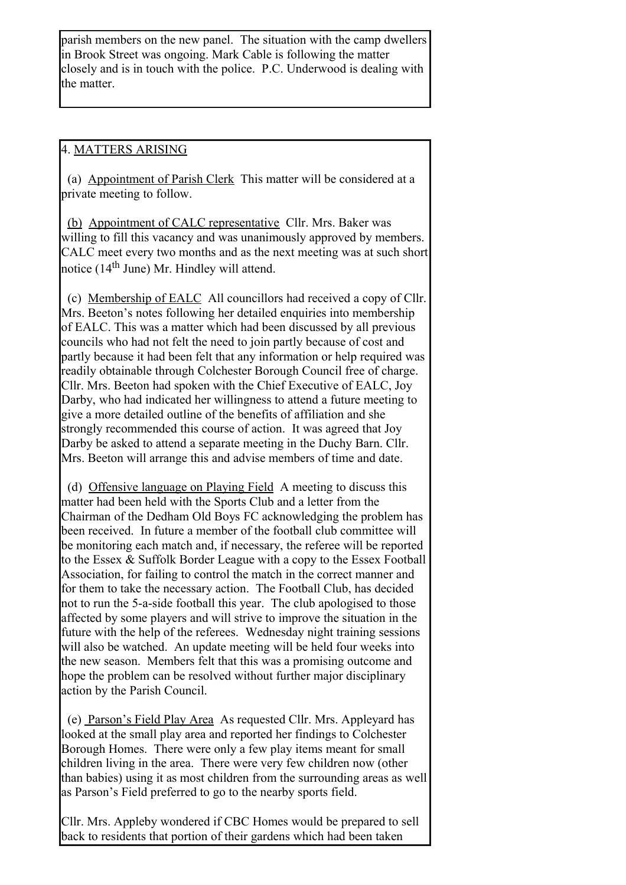parish members on the new panel. The situation with the camp dwellers in Brook Street was ongoing. Mark Cable is following the matter closely and is in touch with the police. P.C. Underwood is dealing with the matter.

## 4. MATTERS ARISING

(a) Appointment of Parish Clerk This matter will be considered at a private meeting to follow.

(b) Appointment of CALC representative Cllr. Mrs. Baker was willing to fill this vacancy and was unanimously approved by members. CALC meet every two months and as the next meeting was at such short notice  $(14<sup>th</sup>$  June) Mr. Hindley will attend.

(c) Membership of EALC All councillors had received a copy of Cllr. Mrs. Beeton's notes following her detailed enquiries into membership of EALC. This was a matter which had been discussed by all previous councils who had not felt the need to join partly because of cost and partly because it had been felt that any information or help required was readily obtainable through Colchester Borough Council free of charge. Cllr. Mrs. Beeton had spoken with the Chief Executive of EALC, Joy Darby, who had indicated her willingness to attend a future meeting to give a more detailed outline of the benefits of affiliation and she strongly recommended this course of action. It was agreed that Joy Darby be asked to attend a separate meeting in the Duchy Barn. Cllr. Mrs. Beeton will arrange this and advise members of time and date.

 (d) Offensive language on Playing Field A meeting to discuss this matter had been held with the Sports Club and a letter from the Chairman of the Dedham Old Boys FC acknowledging the problem has been received. In future a member of the football club committee will be monitoring each match and, if necessary, the referee will be reported to the Essex & Suffolk Border League with a copy to the Essex Football Association, for failing to control the match in the correct manner and for them to take the necessary action. The Football Club, has decided not to run the 5-a-side football this year. The club apologised to those affected by some players and will strive to improve the situation in the future with the help of the referees. Wednesday night training sessions will also be watched. An update meeting will be held four weeks into the new season. Members felt that this was a promising outcome and hope the problem can be resolved without further major disciplinary action by the Parish Council.

(e) Parson's Field Play Area As requested Cllr. Mrs. Appleyard has looked at the small play area and reported her findings to Colchester Borough Homes. There were only a few play items meant for small children living in the area. There were very few children now (other than babies) using it as most children from the surrounding areas as well as Parson's Field preferred to go to the nearby sports field.

Cllr. Mrs. Appleby wondered if CBC Homes would be prepared to sell back to residents that portion of their gardens which had been taken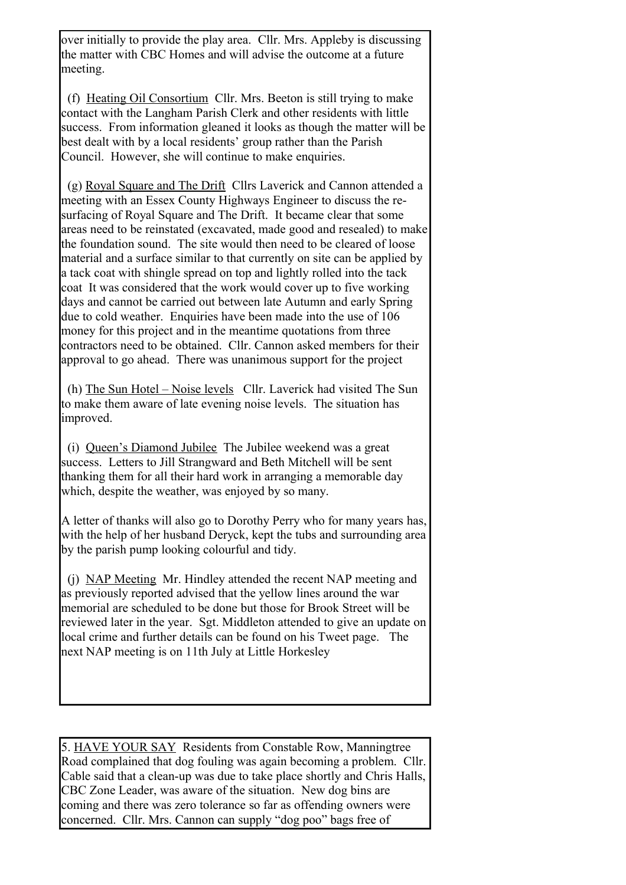over initially to provide the play area. Cllr. Mrs. Appleby is discussing the matter with CBC Homes and will advise the outcome at a future meeting.

(f) Heating Oil Consortium Cllr. Mrs. Beeton is still trying to make contact with the Langham Parish Clerk and other residents with little success. From information gleaned it looks as though the matter will be best dealt with by a local residents' group rather than the Parish Council. However, she will continue to make enquiries.

(g) Royal Square and The Drift Cllrs Laverick and Cannon attended a meeting with an Essex County Highways Engineer to discuss the resurfacing of Royal Square and The Drift. It became clear that some areas need to be reinstated (excavated, made good and resealed) to make the foundation sound. The site would then need to be cleared of loose material and a surface similar to that currently on site can be applied by a tack coat with shingle spread on top and lightly rolled into the tack coat It was considered that the work would cover up to five working days and cannot be carried out between late Autumn and early Spring due to cold weather. Enquiries have been made into the use of 106 money for this project and in the meantime quotations from three contractors need to be obtained. Cllr. Cannon asked members for their approval to go ahead. There was unanimous support for the project

(h) The Sun Hotel – Noise levels Cllr. Laverick had visited The Sun to make them aware of late evening noise levels. The situation has improved.

(i) Queen's Diamond Jubilee The Jubilee weekend was a great success. Letters to Jill Strangward and Beth Mitchell will be sent thanking them for all their hard work in arranging a memorable day which, despite the weather, was enjoyed by so many.

A letter of thanks will also go to Dorothy Perry who for many years has, with the help of her husband Deryck, kept the tubs and surrounding area by the parish pump looking colourful and tidy.

 (j) NAP Meeting Mr. Hindley attended the recent NAP meeting and as previously reported advised that the yellow lines around the war memorial are scheduled to be done but those for Brook Street will be reviewed later in the year. Sgt. Middleton attended to give an update on local crime and further details can be found on his Tweet page. The next NAP meeting is on 11th July at Little Horkesley

5. HAVE YOUR SAY Residents from Constable Row, Manningtree Road complained that dog fouling was again becoming a problem. Cllr. Cable said that a clean-up was due to take place shortly and Chris Halls, CBC Zone Leader, was aware of the situation. New dog bins are coming and there was zero tolerance so far as offending owners were concerned. Cllr. Mrs. Cannon can supply "dog poo" bags free of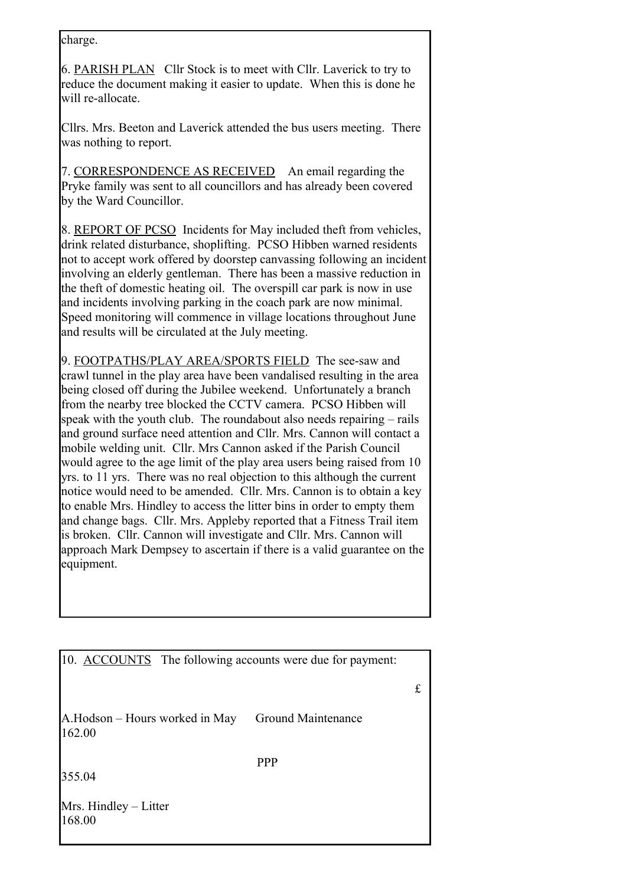charge.

6. PARISH PLAN Cllr Stock is to meet with Cllr. Laverick to try to reduce the document making it easier to update. When this is done he will re-allocate.

Cllrs. Mrs. Beeton and Laverick attended the bus users meeting. There was nothing to report.

7. CORRESPONDENCE AS RECEIVED An email regarding the Pryke family was sent to all councillors and has already been covered by the Ward Councillor.

8. REPORT OF PCSO Incidents for May included theft from vehicles, drink related disturbance, shoplifting. PCSO Hibben warned residents not to accept work offered by doorstep canvassing following an incident involving an elderly gentleman. There has been a massive reduction in the theft of domestic heating oil. The overspill car park is now in use and incidents involving parking in the coach park are now minimal. Speed monitoring will commence in village locations throughout June and results will be circulated at the July meeting.

9. FOOTPATHS/PLAY AREA/SPORTS FIELD The see-saw and crawl tunnel in the play area have been vandalised resulting in the area being closed off during the Jubilee weekend. Unfortunately a branch from the nearby tree blocked the CCTV camera. PCSO Hibben will speak with the youth club. The roundabout also needs repairing – rails and ground surface need attention and Cllr. Mrs. Cannon will contact a mobile welding unit. Cllr. Mrs Cannon asked if the Parish Council would agree to the age limit of the play area users being raised from 10 yrs. to 11 yrs. There was no real objection to this although the current notice would need to be amended. Cllr. Mrs. Cannon is to obtain a key to enable Mrs. Hindley to access the litter bins in order to empty them and change bags. Cllr. Mrs. Appleby reported that a Fitness Trail item is broken. Cllr. Cannon will investigate and Cllr. Mrs. Cannon will approach Mark Dempsey to ascertain if there is a valid guarantee on the equipment.

| 10. ACCOUNTS The following accounts were due for payment: |                    |   |
|-----------------------------------------------------------|--------------------|---|
|                                                           |                    | £ |
| A.Hodson – Hours worked in May<br>162.00                  | Ground Maintenance |   |
|                                                           | <b>PPP</b>         |   |
| 355.04                                                    |                    |   |
| Mrs. Hindley – Litter<br>168.00                           |                    |   |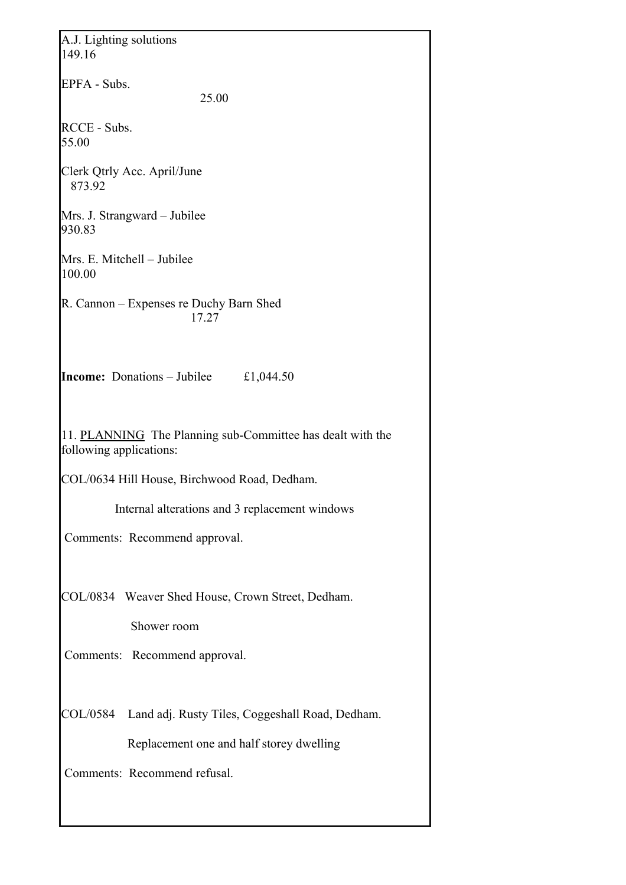| A.J. Lighting solutions<br>149.16                                                     |
|---------------------------------------------------------------------------------------|
| EPFA - Subs.<br>25.00                                                                 |
| RCCE - Subs.<br>55.00                                                                 |
| Clerk Qtrly Acc. April/June<br>873.92                                                 |
| Mrs. J. Strangward - Jubilee<br>930.83                                                |
| Mrs. E. Mitchell – Jubilee<br>100.00                                                  |
| R. Cannon – Expenses re Duchy Barn Shed<br>17.27                                      |
| <b>Income:</b> Donations – Jubilee<br>£1,044.50                                       |
| 11. PLANNING The Planning sub-Committee has dealt with the<br>following applications: |
| COL/0634 Hill House, Birchwood Road, Dedham.                                          |
| Internal alterations and 3 replacement windows                                        |
| Comments: Recommend approval.                                                         |
| COL/0834 Weaver Shed House, Crown Street, Dedham.<br>Shower room                      |
| Comments: Recommend approval.                                                         |
| COL/0584 Land adj. Rusty Tiles, Coggeshall Road, Dedham.                              |
| Replacement one and half storey dwelling                                              |
| Comments: Recommend refusal.                                                          |
|                                                                                       |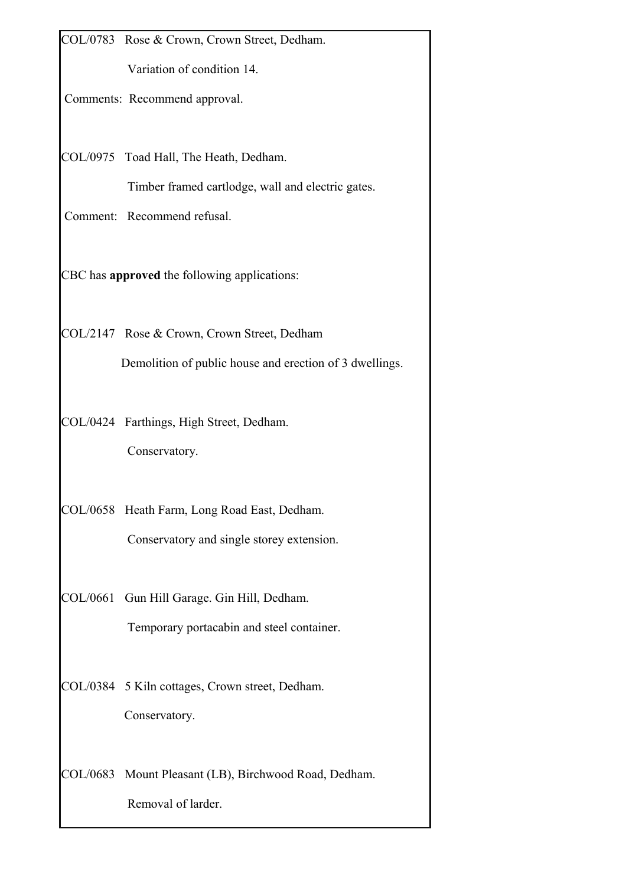|          | COL/0783 Rose & Crown, Crown Street, Dedham.            |
|----------|---------------------------------------------------------|
|          | Variation of condition 14.                              |
|          | Comments: Recommend approval.                           |
|          |                                                         |
|          | COL/0975 Toad Hall, The Heath, Dedham.                  |
|          | Timber framed cartlodge, wall and electric gates.       |
|          | Comment: Recommend refusal.                             |
|          |                                                         |
|          | CBC has approved the following applications:            |
|          |                                                         |
|          | COL/2147 Rose & Crown, Crown Street, Dedham             |
|          | Demolition of public house and erection of 3 dwellings. |
|          |                                                         |
|          | COL/0424 Farthings, High Street, Dedham.                |
|          | Conservatory.                                           |
|          |                                                         |
|          | COL/0658 Heath Farm, Long Road East, Dedham.            |
|          | Conservatory and single storey extension.               |
|          |                                                         |
| COL/0661 | Gun Hill Garage. Gin Hill, Dedham.                      |
|          | Temporary portacabin and steel container.               |
|          | COL/0384 5 Kiln cottages, Crown street, Dedham.         |
|          |                                                         |
|          | Conservatory.                                           |
|          | COL/0683 Mount Pleasant (LB), Birchwood Road, Dedham.   |
|          | Removal of larder.                                      |
|          |                                                         |